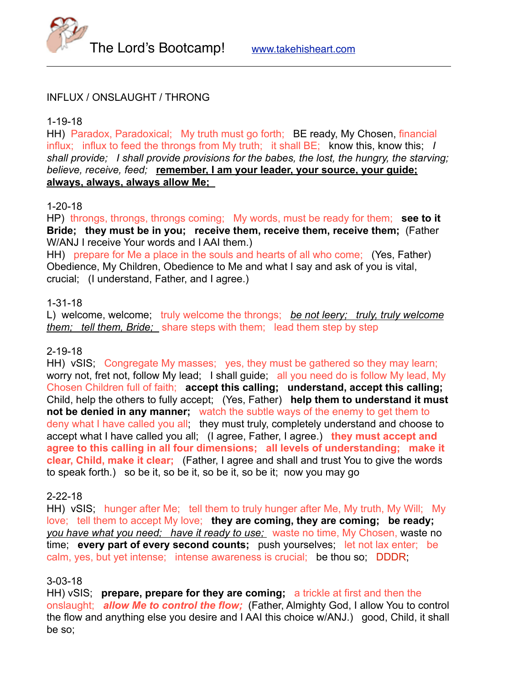The Lord's Bootcamp! [www.takehisheart.com](http://www.takehisheart.com)

### INFLUX / ONSLAUGHT / THRONG

1-19-18

HH) Paradox, Paradoxical; My truth must go forth; BE ready, My Chosen, financial influx; influx to feed the throngs from My truth; it shall BE; know this, know this; *I shall provide; I shall provide provisions for the babes, the lost, the hungry, the starving; believe, receive, feed;* **remember, I am your leader, your source, your guide; always, always, always allow Me;** 

1-20-18

HP) throngs, throngs, throngs coming; My words, must be ready for them; **see to it Bride; they must be in you; receive them, receive them, receive them;** (Father W/ANJ I receive Your words and I AAI them.)

HH) prepare for Me a place in the souls and hearts of all who come; (Yes, Father) Obedience, My Children, Obedience to Me and what I say and ask of you is vital, crucial; (I understand, Father, and I agree.)

#### 1-31-18

L) welcome, welcome; truly welcome the throngs; *be not leery; truly, truly welcome them; tell them, Bride;* share steps with them; lead them step by step

#### 2-19-18

HH) vSIS; Congregate My masses; yes, they must be gathered so they may learn; worry not, fret not, follow My lead; I shall quide; all you need do is follow My lead, My Chosen Children full of faith; **accept this calling; understand, accept this calling;** Child, help the others to fully accept; (Yes, Father) **help them to understand it must not be denied in any manner;** watch the subtle ways of the enemy to get them to deny what I have called you all; they must truly, completely understand and choose to accept what I have called you all; (I agree, Father, I agree.) **they must accept and agree to this calling in all four dimensions; all levels of understanding; make it clear, Child, make it clear;** (Father, I agree and shall and trust You to give the words to speak forth.) so be it, so be it, so be it, so be it; now you may go

### 2-22-18

HH) vSIS; hunger after Me; tell them to truly hunger after Me, My truth, My Will; My love; tell them to accept My love; **they are coming, they are coming; be ready;** *you have what you need; have it ready to use;* waste no time, My Chosen, waste no time; **every part of every second counts;** push yourselves; let not lax enter; be calm, yes, but yet intense; intense awareness is crucial; be thou so; DDDR;

### 3-03-18

HH) vSIS; **prepare, prepare for they are coming;** a trickle at first and then the onslaught; *allow Me to control the flow;* (Father, Almighty God, I allow You to control the flow and anything else you desire and I AAI this choice w/ANJ.) good, Child, it shall be so;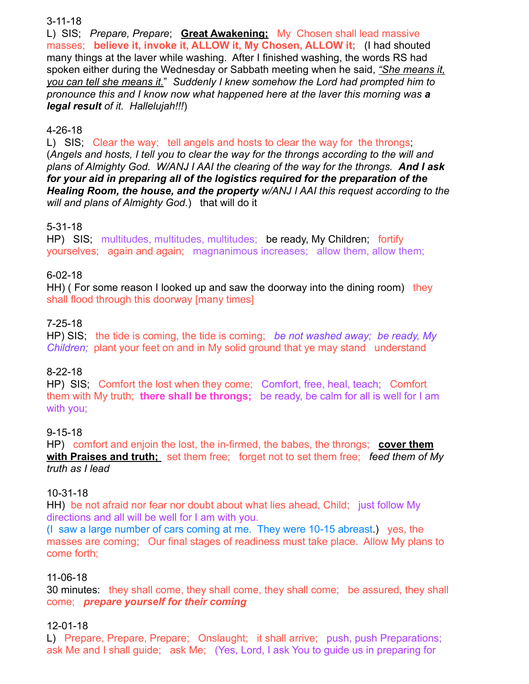3-11-18

L) SIS; *Prepare, Prepare*; **Great Awakening;** My Chosen shall lead massive masses; **believe it, invoke it, ALLOW it, My Chosen, ALLOW it;** (I had shouted many things at the laver while washing. After I finished washing, the words RS had spoken either during the Wednesday or Sabbath meeting when he said, *"She means it, you can tell she means it.*" *Suddenly I knew somehow the Lord had prompted him to pronounce this and I know now what happened here at the laver this morning was a legal result of it. Hallelujah!!!*)

## 4-26-18

L) SIS; Clear the way; tell angels and hosts to clear the way for the throngs; (*Angels and hosts, I tell you to clear the way for the throngs according to the will and plans of Almighty God. W/ANJ I AAI the clearing of the way for the throngs. And I ask for your aid in preparing all of the logistics required for the preparation of the Healing Room, the house, and the property w/ANJ I AAI this request according to the will and plans of Almighty God.*) that will do it

# 5-31-18

HP) SIS; multitudes, multitudes, multitudes; be ready, My Children; fortify yourselves; again and again; magnanimous increases; allow them, allow them;

## 6-02-18

HH) ( For some reason I looked up and saw the doorway into the dining room) they shall flood through this doorway [many times]

## 7-25-18

HP) SIS; the tide is coming, the tide is coming; *be not washed away; be ready, My Children;* plant your feet on and in My solid ground that ye may stand understand

# 8-22-18

HP) SIS; Comfort the lost when they come; Comfort, free, heal, teach; Comfort them with My truth; **there shall be throngs;** be ready, be calm for all is well for I am with you;

## 9-15-18

HP) comfort and enjoin the lost, the in-firmed, the babes, the throngs; **cover them with Praises and truth;** set them free; forget not to set them free; *feed them of My truth as I lead* 

## 10-31-18

HH) be not afraid nor fear nor doubt about what lies ahead, Child; just follow My directions and all will be well for I am with you.

(I saw a large number of cars coming at me. They were 10-15 abreast.) yes, the masses are coming; Our final stages of readiness must take place. Allow My plans to come forth;

## 11-06-18

30 minutes: they shall come, they shall come, they shall come; be assured, they shall come; *prepare yourself for their coming*

## 12-01-18

L) Prepare, Prepare, Prepare; Onslaught; it shall arrive; push, push Preparations; ask Me and I shall guide; ask Me; (Yes, Lord, I ask You to guide us in preparing for